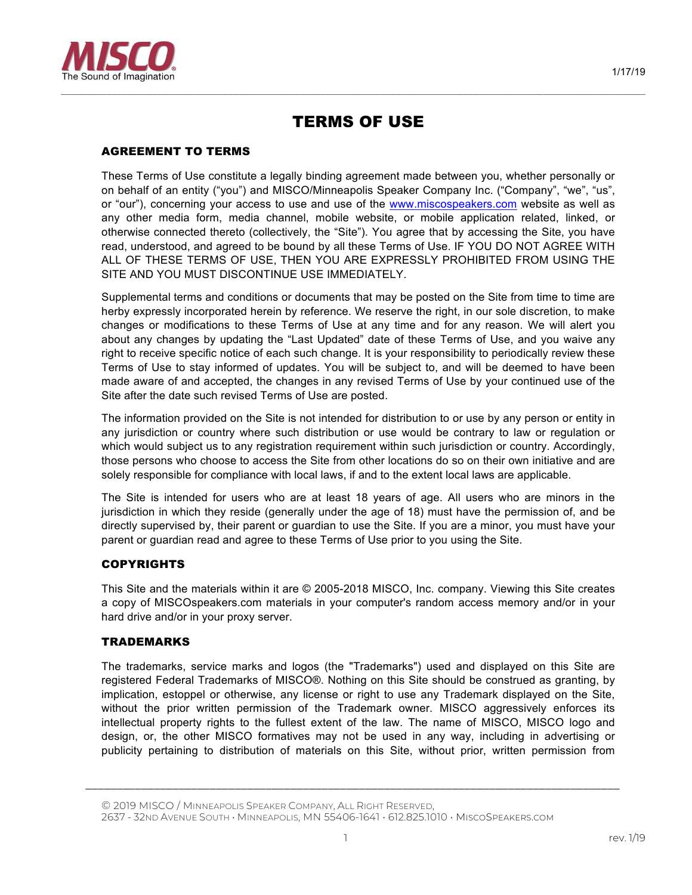

# TERMS OF USE

*–––––––––––––––––––––––––––––––––––––––––––––––––––––––––––––––––––––––––––––––––––––––––––––––––––––––––––––––––––*

# AGREEMENT TO TERMS

These Terms of Use constitute a legally binding agreement made between you, whether personally or on behalf of an entity ("you") and MISCO/Minneapolis Speaker Company Inc. ("Company", "we", "us", or "our"), concerning your access to use and use of the www.miscospeakers.com website as well as any other media form, media channel, mobile website, or mobile application related, linked, or otherwise connected thereto (collectively, the "Site"). You agree that by accessing the Site, you have read, understood, and agreed to be bound by all these Terms of Use. IF YOU DO NOT AGREE WITH ALL OF THESE TERMS OF USE, THEN YOU ARE EXPRESSLY PROHIBITED FROM USING THE SITE AND YOU MUST DISCONTINUE USE IMMEDIATELY.

Supplemental terms and conditions or documents that may be posted on the Site from time to time are herby expressly incorporated herein by reference. We reserve the right, in our sole discretion, to make changes or modifications to these Terms of Use at any time and for any reason. We will alert you about any changes by updating the "Last Updated" date of these Terms of Use, and you waive any right to receive specific notice of each such change. It is your responsibility to periodically review these Terms of Use to stay informed of updates. You will be subject to, and will be deemed to have been made aware of and accepted, the changes in any revised Terms of Use by your continued use of the Site after the date such revised Terms of Use are posted.

The information provided on the Site is not intended for distribution to or use by any person or entity in any jurisdiction or country where such distribution or use would be contrary to law or regulation or which would subject us to any registration requirement within such jurisdiction or country. Accordingly, those persons who choose to access the Site from other locations do so on their own initiative and are solely responsible for compliance with local laws, if and to the extent local laws are applicable.

The Site is intended for users who are at least 18 years of age. All users who are minors in the jurisdiction in which they reside (generally under the age of 18) must have the permission of, and be directly supervised by, their parent or guardian to use the Site. If you are a minor, you must have your parent or guardian read and agree to these Terms of Use prior to you using the Site.

# **COPYRIGHTS**

This Site and the materials within it are © 2005-2018 MISCO, Inc. company. Viewing this Site creates a copy of MISCOspeakers.com materials in your computer's random access memory and/or in your hard drive and/or in your proxy server.

### TRADEMARKS

The trademarks, service marks and logos (the "Trademarks") used and displayed on this Site are registered Federal Trademarks of MISCO®. Nothing on this Site should be construed as granting, by implication, estoppel or otherwise, any license or right to use any Trademark displayed on the Site, without the prior written permission of the Trademark owner. MISCO aggressively enforces its intellectual property rights to the fullest extent of the law. The name of MISCO, MISCO logo and design, or, the other MISCO formatives may not be used in any way, including in advertising or publicity pertaining to distribution of materials on this Site, without prior, written permission from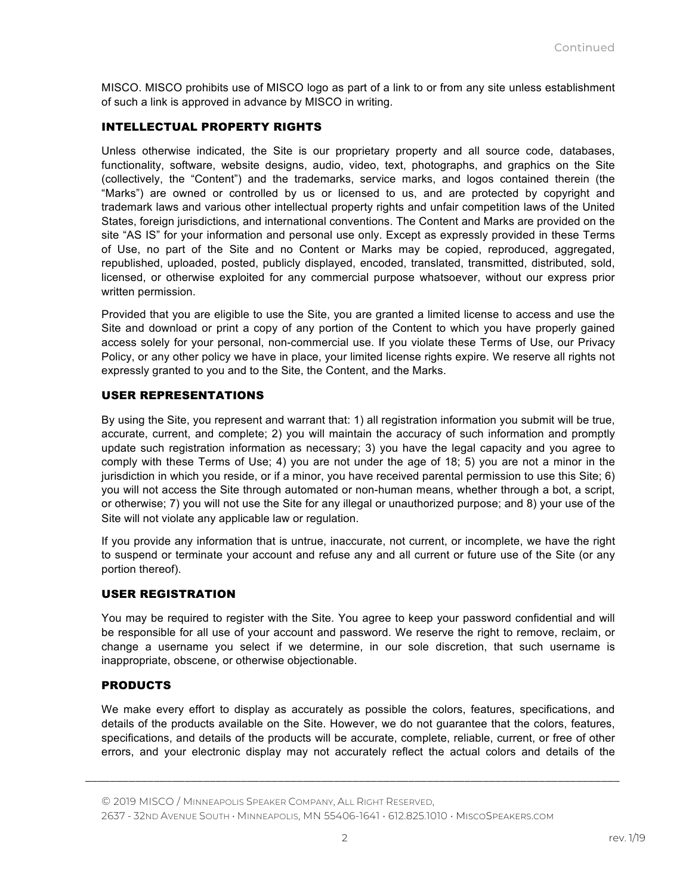MISCO. MISCO prohibits use of MISCO logo as part of a link to or from any site unless establishment of such a link is approved in advance by MISCO in writing.

# INTELLECTUAL PROPERTY RIGHTS

Unless otherwise indicated, the Site is our proprietary property and all source code, databases, functionality, software, website designs, audio, video, text, photographs, and graphics on the Site (collectively, the "Content") and the trademarks, service marks, and logos contained therein (the "Marks") are owned or controlled by us or licensed to us, and are protected by copyright and trademark laws and various other intellectual property rights and unfair competition laws of the United States, foreign jurisdictions, and international conventions. The Content and Marks are provided on the site "AS IS" for your information and personal use only. Except as expressly provided in these Terms of Use, no part of the Site and no Content or Marks may be copied, reproduced, aggregated, republished, uploaded, posted, publicly displayed, encoded, translated, transmitted, distributed, sold, licensed, or otherwise exploited for any commercial purpose whatsoever, without our express prior written permission.

Provided that you are eligible to use the Site, you are granted a limited license to access and use the Site and download or print a copy of any portion of the Content to which you have properly gained access solely for your personal, non-commercial use. If you violate these Terms of Use, our Privacy Policy, or any other policy we have in place, your limited license rights expire. We reserve all rights not expressly granted to you and to the Site, the Content, and the Marks.

### USER REPRESENTATIONS

By using the Site, you represent and warrant that: 1) all registration information you submit will be true, accurate, current, and complete; 2) you will maintain the accuracy of such information and promptly update such registration information as necessary; 3) you have the legal capacity and you agree to comply with these Terms of Use; 4) you are not under the age of 18; 5) you are not a minor in the jurisdiction in which you reside, or if a minor, you have received parental permission to use this Site; 6) you will not access the Site through automated or non-human means, whether through a bot, a script, or otherwise; 7) you will not use the Site for any illegal or unauthorized purpose; and 8) your use of the Site will not violate any applicable law or regulation.

If you provide any information that is untrue, inaccurate, not current, or incomplete, we have the right to suspend or terminate your account and refuse any and all current or future use of the Site (or any portion thereof).

### USER REGISTRATION

You may be required to register with the Site. You agree to keep your password confidential and will be responsible for all use of your account and password. We reserve the right to remove, reclaim, or change a username you select if we determine, in our sole discretion, that such username is inappropriate, obscene, or otherwise objectionable.

### PRODUCTS

We make every effort to display as accurately as possible the colors, features, specifications, and details of the products available on the Site. However, we do not guarantee that the colors, features, specifications, and details of the products will be accurate, complete, reliable, current, or free of other errors, and your electronic display may not accurately reflect the actual colors and details of the

*\_\_\_\_\_\_\_\_\_\_\_\_\_\_\_\_\_\_\_\_\_\_\_\_\_\_\_\_\_\_\_\_\_\_\_\_\_\_\_\_\_\_\_\_\_\_\_\_\_\_\_\_\_\_\_\_\_\_\_\_\_\_\_\_\_\_\_\_\_\_\_\_\_\_\_\_\_\_\_\_\_\_\_\_\_\_*

2637 - 32ND AVENUE SOUTH • MINNEAPOLIS, MN 55406-1641 • 612.825.1010 • MISCOSPEAKERS.COM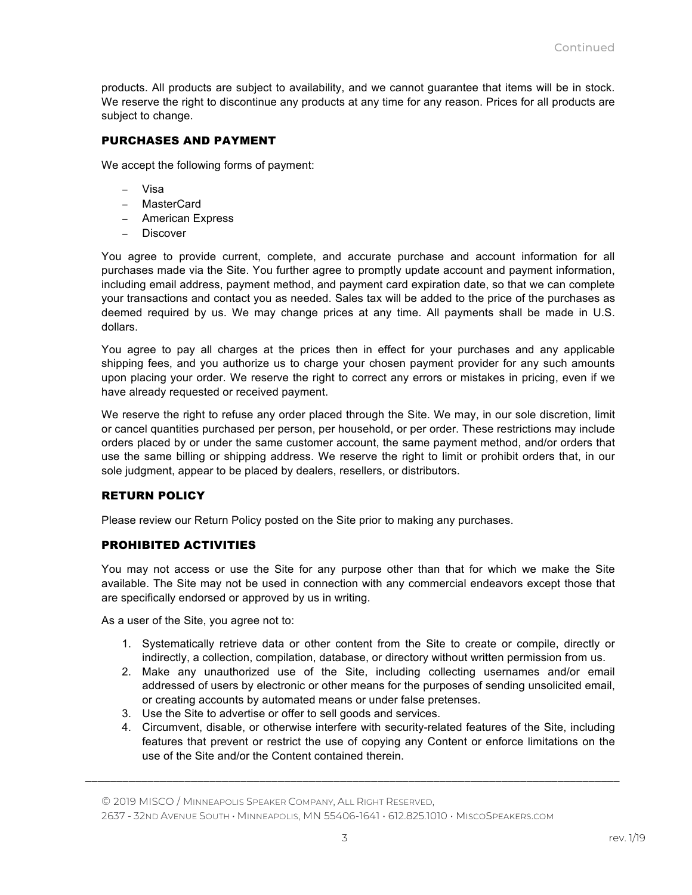products. All products are subject to availability, and we cannot guarantee that items will be in stock. We reserve the right to discontinue any products at any time for any reason. Prices for all products are subject to change.

# PURCHASES AND PAYMENT

We accept the following forms of payment:

- − Visa
- − MasterCard
- − American Express
- − Discover

You agree to provide current, complete, and accurate purchase and account information for all purchases made via the Site. You further agree to promptly update account and payment information, including email address, payment method, and payment card expiration date, so that we can complete your transactions and contact you as needed. Sales tax will be added to the price of the purchases as deemed required by us. We may change prices at any time. All payments shall be made in U.S. dollars.

You agree to pay all charges at the prices then in effect for your purchases and any applicable shipping fees, and you authorize us to charge your chosen payment provider for any such amounts upon placing your order. We reserve the right to correct any errors or mistakes in pricing, even if we have already requested or received payment.

We reserve the right to refuse any order placed through the Site. We may, in our sole discretion, limit or cancel quantities purchased per person, per household, or per order. These restrictions may include orders placed by or under the same customer account, the same payment method, and/or orders that use the same billing or shipping address. We reserve the right to limit or prohibit orders that, in our sole judgment, appear to be placed by dealers, resellers, or distributors.

### RETURN POLICY

Please review our Return Policy posted on the Site prior to making any purchases.

### PROHIBITED ACTIVITIES

You may not access or use the Site for any purpose other than that for which we make the Site available. The Site may not be used in connection with any commercial endeavors except those that are specifically endorsed or approved by us in writing.

As a user of the Site, you agree not to:

- 1. Systematically retrieve data or other content from the Site to create or compile, directly or indirectly, a collection, compilation, database, or directory without written permission from us.
- 2. Make any unauthorized use of the Site, including collecting usernames and/or email addressed of users by electronic or other means for the purposes of sending unsolicited email, or creating accounts by automated means or under false pretenses.
- 3. Use the Site to advertise or offer to sell goods and services.
- 4. Circumvent, disable, or otherwise interfere with security-related features of the Site, including features that prevent or restrict the use of copying any Content or enforce limitations on the use of the Site and/or the Content contained therein.

© 2019 MISCO / MINNEAPOLIS SPEAKER COMPANY, ALL RIGHT RESERVED,

2637 - 32ND AVENUE SOUTH • MINNEAPOLIS, MN 55406-1641 • 612.825.1010 • MISCOSPEAKERS.COM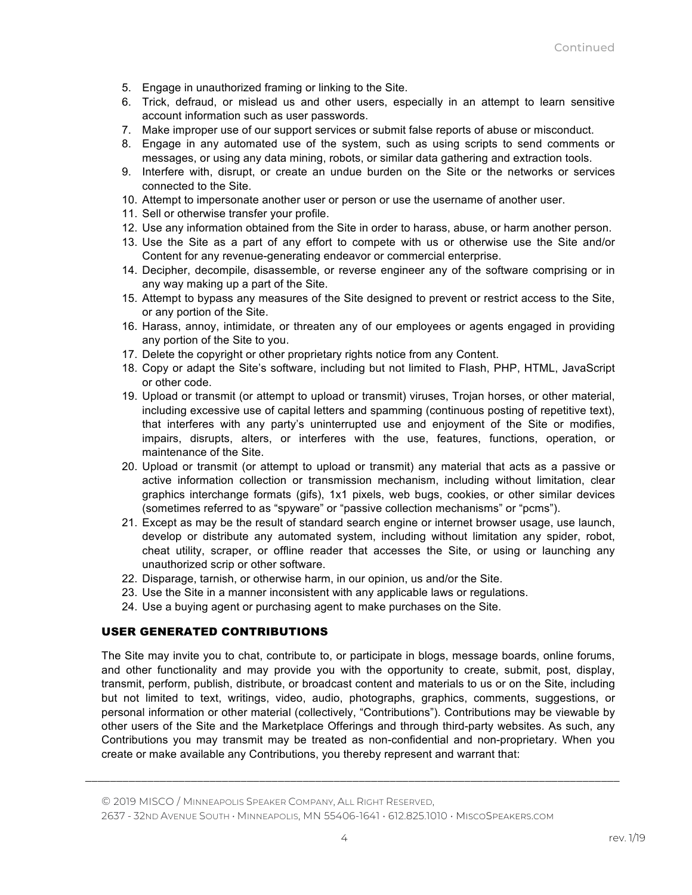- 5. Engage in unauthorized framing or linking to the Site.
- 6. Trick, defraud, or mislead us and other users, especially in an attempt to learn sensitive account information such as user passwords.
- 7. Make improper use of our support services or submit false reports of abuse or misconduct.
- 8. Engage in any automated use of the system, such as using scripts to send comments or messages, or using any data mining, robots, or similar data gathering and extraction tools.
- 9. Interfere with, disrupt, or create an undue burden on the Site or the networks or services connected to the Site.
- 10. Attempt to impersonate another user or person or use the username of another user.
- 11. Sell or otherwise transfer your profile.
- 12. Use any information obtained from the Site in order to harass, abuse, or harm another person.
- 13. Use the Site as a part of any effort to compete with us or otherwise use the Site and/or Content for any revenue-generating endeavor or commercial enterprise.
- 14. Decipher, decompile, disassemble, or reverse engineer any of the software comprising or in any way making up a part of the Site.
- 15. Attempt to bypass any measures of the Site designed to prevent or restrict access to the Site, or any portion of the Site.
- 16. Harass, annoy, intimidate, or threaten any of our employees or agents engaged in providing any portion of the Site to you.
- 17. Delete the copyright or other proprietary rights notice from any Content.
- 18. Copy or adapt the Site's software, including but not limited to Flash, PHP, HTML, JavaScript or other code.
- 19. Upload or transmit (or attempt to upload or transmit) viruses, Trojan horses, or other material, including excessive use of capital letters and spamming (continuous posting of repetitive text), that interferes with any party's uninterrupted use and enjoyment of the Site or modifies, impairs, disrupts, alters, or interferes with the use, features, functions, operation, or maintenance of the Site.
- 20. Upload or transmit (or attempt to upload or transmit) any material that acts as a passive or active information collection or transmission mechanism, including without limitation, clear graphics interchange formats (gifs), 1x1 pixels, web bugs, cookies, or other similar devices (sometimes referred to as "spyware" or "passive collection mechanisms" or "pcms").
- 21. Except as may be the result of standard search engine or internet browser usage, use launch, develop or distribute any automated system, including without limitation any spider, robot, cheat utility, scraper, or offline reader that accesses the Site, or using or launching any unauthorized scrip or other software.
- 22. Disparage, tarnish, or otherwise harm, in our opinion, us and/or the Site.
- 23. Use the Site in a manner inconsistent with any applicable laws or regulations.
- 24. Use a buying agent or purchasing agent to make purchases on the Site.

# USER GENERATED CONTRIBUTIONS

The Site may invite you to chat, contribute to, or participate in blogs, message boards, online forums, and other functionality and may provide you with the opportunity to create, submit, post, display, transmit, perform, publish, distribute, or broadcast content and materials to us or on the Site, including but not limited to text, writings, video, audio, photographs, graphics, comments, suggestions, or personal information or other material (collectively, "Contributions"). Contributions may be viewable by other users of the Site and the Marketplace Offerings and through third-party websites. As such, any Contributions you may transmit may be treated as non-confidential and non-proprietary. When you create or make available any Contributions, you thereby represent and warrant that: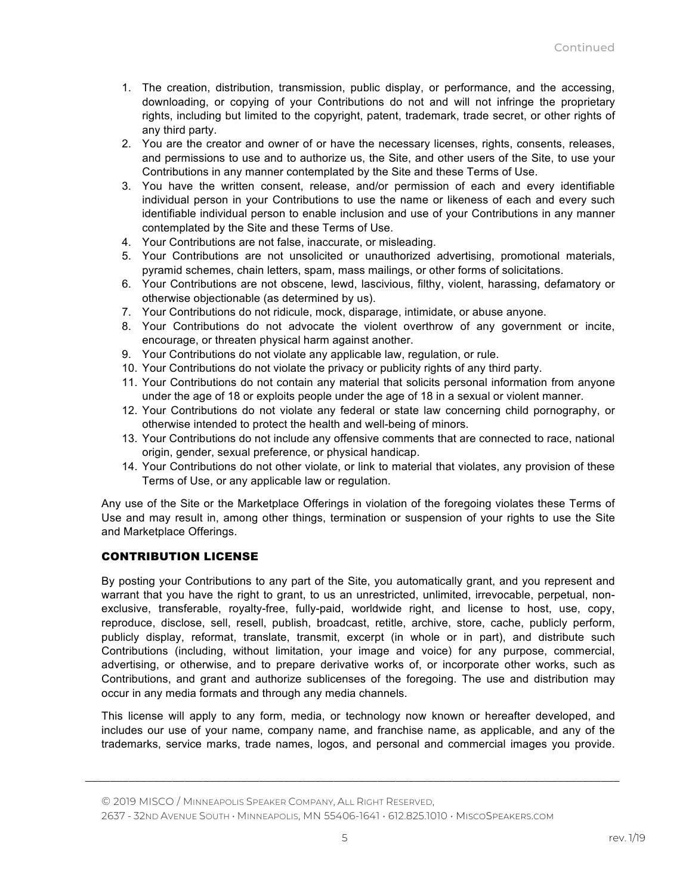- 1. The creation, distribution, transmission, public display, or performance, and the accessing, downloading, or copying of your Contributions do not and will not infringe the proprietary rights, including but limited to the copyright, patent, trademark, trade secret, or other rights of any third party.
- 2. You are the creator and owner of or have the necessary licenses, rights, consents, releases, and permissions to use and to authorize us, the Site, and other users of the Site, to use your Contributions in any manner contemplated by the Site and these Terms of Use.
- 3. You have the written consent, release, and/or permission of each and every identifiable individual person in your Contributions to use the name or likeness of each and every such identifiable individual person to enable inclusion and use of your Contributions in any manner contemplated by the Site and these Terms of Use.
- 4. Your Contributions are not false, inaccurate, or misleading.
- 5. Your Contributions are not unsolicited or unauthorized advertising, promotional materials, pyramid schemes, chain letters, spam, mass mailings, or other forms of solicitations.
- 6. Your Contributions are not obscene, lewd, lascivious, filthy, violent, harassing, defamatory or otherwise objectionable (as determined by us).
- 7. Your Contributions do not ridicule, mock, disparage, intimidate, or abuse anyone.
- 8. Your Contributions do not advocate the violent overthrow of any government or incite, encourage, or threaten physical harm against another.
- 9. Your Contributions do not violate any applicable law, regulation, or rule.
- 10. Your Contributions do not violate the privacy or publicity rights of any third party.
- 11. Your Contributions do not contain any material that solicits personal information from anyone under the age of 18 or exploits people under the age of 18 in a sexual or violent manner.
- 12. Your Contributions do not violate any federal or state law concerning child pornography, or otherwise intended to protect the health and well-being of minors.
- 13. Your Contributions do not include any offensive comments that are connected to race, national origin, gender, sexual preference, or physical handicap.
- 14. Your Contributions do not other violate, or link to material that violates, any provision of these Terms of Use, or any applicable law or regulation.

Any use of the Site or the Marketplace Offerings in violation of the foregoing violates these Terms of Use and may result in, among other things, termination or suspension of your rights to use the Site and Marketplace Offerings.

# CONTRIBUTION LICENSE

By posting your Contributions to any part of the Site, you automatically grant, and you represent and warrant that you have the right to grant, to us an unrestricted, unlimited, irrevocable, perpetual, nonexclusive, transferable, royalty-free, fully-paid, worldwide right, and license to host, use, copy, reproduce, disclose, sell, resell, publish, broadcast, retitle, archive, store, cache, publicly perform, publicly display, reformat, translate, transmit, excerpt (in whole or in part), and distribute such Contributions (including, without limitation, your image and voice) for any purpose, commercial, advertising, or otherwise, and to prepare derivative works of, or incorporate other works, such as Contributions, and grant and authorize sublicenses of the foregoing. The use and distribution may occur in any media formats and through any media channels.

This license will apply to any form, media, or technology now known or hereafter developed, and includes our use of your name, company name, and franchise name, as applicable, and any of the trademarks, service marks, trade names, logos, and personal and commercial images you provide.

*\_\_\_\_\_\_\_\_\_\_\_\_\_\_\_\_\_\_\_\_\_\_\_\_\_\_\_\_\_\_\_\_\_\_\_\_\_\_\_\_\_\_\_\_\_\_\_\_\_\_\_\_\_\_\_\_\_\_\_\_\_\_\_\_\_\_\_\_\_\_\_\_\_\_\_\_\_\_\_\_\_\_\_\_\_\_*

2637 - 32ND AVENUE SOUTH • MINNEAPOLIS, MN 55406-1641 • 612.825.1010 • MISCOSPEAKERS.COM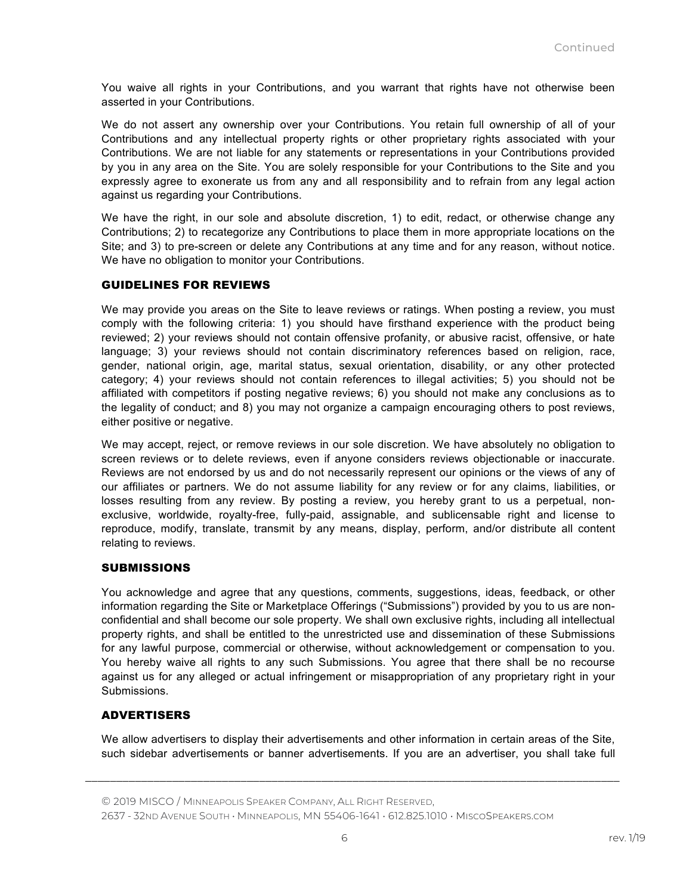You waive all rights in your Contributions, and you warrant that rights have not otherwise been asserted in your Contributions.

We do not assert any ownership over your Contributions. You retain full ownership of all of your Contributions and any intellectual property rights or other proprietary rights associated with your Contributions. We are not liable for any statements or representations in your Contributions provided by you in any area on the Site. You are solely responsible for your Contributions to the Site and you expressly agree to exonerate us from any and all responsibility and to refrain from any legal action against us regarding your Contributions.

We have the right, in our sole and absolute discretion, 1) to edit, redact, or otherwise change any Contributions; 2) to recategorize any Contributions to place them in more appropriate locations on the Site; and 3) to pre-screen or delete any Contributions at any time and for any reason, without notice. We have no obligation to monitor your Contributions.

### GUIDELINES FOR REVIEWS

We may provide you areas on the Site to leave reviews or ratings. When posting a review, you must comply with the following criteria: 1) you should have firsthand experience with the product being reviewed; 2) your reviews should not contain offensive profanity, or abusive racist, offensive, or hate language; 3) your reviews should not contain discriminatory references based on religion, race, gender, national origin, age, marital status, sexual orientation, disability, or any other protected category; 4) your reviews should not contain references to illegal activities; 5) you should not be affiliated with competitors if posting negative reviews; 6) you should not make any conclusions as to the legality of conduct; and 8) you may not organize a campaign encouraging others to post reviews, either positive or negative.

We may accept, reject, or remove reviews in our sole discretion. We have absolutely no obligation to screen reviews or to delete reviews, even if anyone considers reviews objectionable or inaccurate. Reviews are not endorsed by us and do not necessarily represent our opinions or the views of any of our affiliates or partners. We do not assume liability for any review or for any claims, liabilities, or losses resulting from any review. By posting a review, you hereby grant to us a perpetual, nonexclusive, worldwide, royalty-free, fully-paid, assignable, and sublicensable right and license to reproduce, modify, translate, transmit by any means, display, perform, and/or distribute all content relating to reviews.

### **SUBMISSIONS**

You acknowledge and agree that any questions, comments, suggestions, ideas, feedback, or other information regarding the Site or Marketplace Offerings ("Submissions") provided by you to us are nonconfidential and shall become our sole property. We shall own exclusive rights, including all intellectual property rights, and shall be entitled to the unrestricted use and dissemination of these Submissions for any lawful purpose, commercial or otherwise, without acknowledgement or compensation to you. You hereby waive all rights to any such Submissions. You agree that there shall be no recourse against us for any alleged or actual infringement or misappropriation of any proprietary right in your Submissions.

# ADVERTISERS

We allow advertisers to display their advertisements and other information in certain areas of the Site, such sidebar advertisements or banner advertisements. If you are an advertiser, you shall take full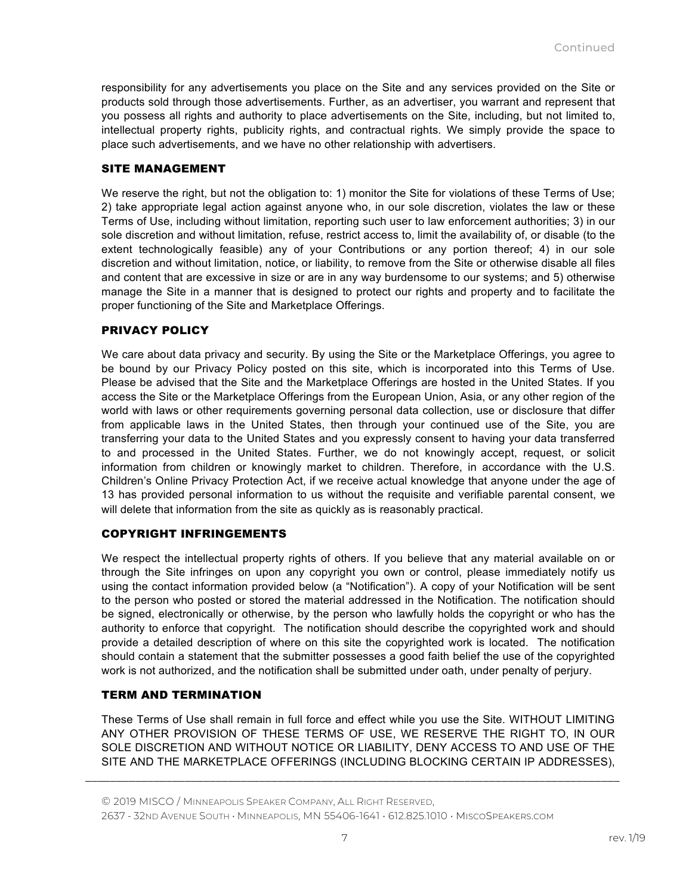responsibility for any advertisements you place on the Site and any services provided on the Site or products sold through those advertisements. Further, as an advertiser, you warrant and represent that you possess all rights and authority to place advertisements on the Site, including, but not limited to, intellectual property rights, publicity rights, and contractual rights. We simply provide the space to place such advertisements, and we have no other relationship with advertisers.

# SITE MANAGEMENT

We reserve the right, but not the obligation to: 1) monitor the Site for violations of these Terms of Use; 2) take appropriate legal action against anyone who, in our sole discretion, violates the law or these Terms of Use, including without limitation, reporting such user to law enforcement authorities; 3) in our sole discretion and without limitation, refuse, restrict access to, limit the availability of, or disable (to the extent technologically feasible) any of your Contributions or any portion thereof; 4) in our sole discretion and without limitation, notice, or liability, to remove from the Site or otherwise disable all files and content that are excessive in size or are in any way burdensome to our systems; and 5) otherwise manage the Site in a manner that is designed to protect our rights and property and to facilitate the proper functioning of the Site and Marketplace Offerings.

# PRIVACY POLICY

We care about data privacy and security. By using the Site or the Marketplace Offerings, you agree to be bound by our Privacy Policy posted on this site, which is incorporated into this Terms of Use. Please be advised that the Site and the Marketplace Offerings are hosted in the United States. If you access the Site or the Marketplace Offerings from the European Union, Asia, or any other region of the world with laws or other requirements governing personal data collection, use or disclosure that differ from applicable laws in the United States, then through your continued use of the Site, you are transferring your data to the United States and you expressly consent to having your data transferred to and processed in the United States. Further, we do not knowingly accept, request, or solicit information from children or knowingly market to children. Therefore, in accordance with the U.S. Children's Online Privacy Protection Act, if we receive actual knowledge that anyone under the age of 13 has provided personal information to us without the requisite and verifiable parental consent, we will delete that information from the site as quickly as is reasonably practical.

# COPYRIGHT INFRINGEMENTS

We respect the intellectual property rights of others. If you believe that any material available on or through the Site infringes on upon any copyright you own or control, please immediately notify us using the contact information provided below (a "Notification"). A copy of your Notification will be sent to the person who posted or stored the material addressed in the Notification. The notification should be signed, electronically or otherwise, by the person who lawfully holds the copyright or who has the authority to enforce that copyright. The notification should describe the copyrighted work and should provide a detailed description of where on this site the copyrighted work is located. The notification should contain a statement that the submitter possesses a good faith belief the use of the copyrighted work is not authorized, and the notification shall be submitted under oath, under penalty of perjury.

# TERM AND TERMINATION

These Terms of Use shall remain in full force and effect while you use the Site. WITHOUT LIMITING ANY OTHER PROVISION OF THESE TERMS OF USE, WE RESERVE THE RIGHT TO, IN OUR SOLE DISCRETION AND WITHOUT NOTICE OR LIABILITY, DENY ACCESS TO AND USE OF THE SITE AND THE MARKETPLACE OFFERINGS (INCLUDING BLOCKING CERTAIN IP ADDRESSES),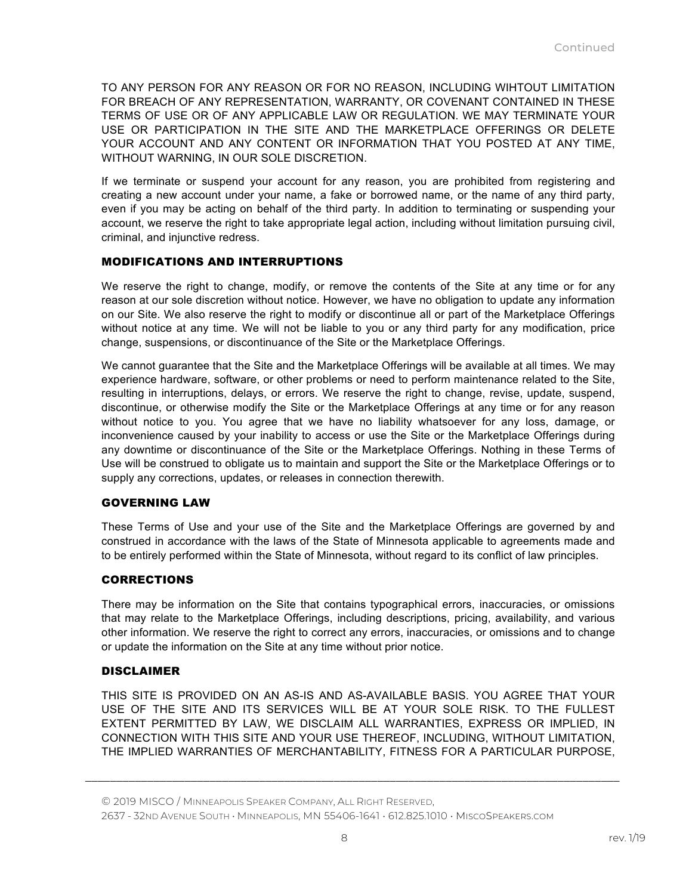TO ANY PERSON FOR ANY REASON OR FOR NO REASON, INCLUDING WIHTOUT LIMITATION FOR BREACH OF ANY REPRESENTATION, WARRANTY, OR COVENANT CONTAINED IN THESE TERMS OF USE OR OF ANY APPLICABLE LAW OR REGULATION. WE MAY TERMINATE YOUR USE OR PARTICIPATION IN THE SITE AND THE MARKETPLACE OFFERINGS OR DELETE YOUR ACCOUNT AND ANY CONTENT OR INFORMATION THAT YOU POSTED AT ANY TIME, WITHOUT WARNING, IN OUR SOLE DISCRETION.

If we terminate or suspend your account for any reason, you are prohibited from registering and creating a new account under your name, a fake or borrowed name, or the name of any third party, even if you may be acting on behalf of the third party. In addition to terminating or suspending your account, we reserve the right to take appropriate legal action, including without limitation pursuing civil, criminal, and injunctive redress.

# MODIFICATIONS AND INTERRUPTIONS

We reserve the right to change, modify, or remove the contents of the Site at any time or for any reason at our sole discretion without notice. However, we have no obligation to update any information on our Site. We also reserve the right to modify or discontinue all or part of the Marketplace Offerings without notice at any time. We will not be liable to you or any third party for any modification, price change, suspensions, or discontinuance of the Site or the Marketplace Offerings.

We cannot guarantee that the Site and the Marketplace Offerings will be available at all times. We may experience hardware, software, or other problems or need to perform maintenance related to the Site, resulting in interruptions, delays, or errors. We reserve the right to change, revise, update, suspend, discontinue, or otherwise modify the Site or the Marketplace Offerings at any time or for any reason without notice to you. You agree that we have no liability whatsoever for any loss, damage, or inconvenience caused by your inability to access or use the Site or the Marketplace Offerings during any downtime or discontinuance of the Site or the Marketplace Offerings. Nothing in these Terms of Use will be construed to obligate us to maintain and support the Site or the Marketplace Offerings or to supply any corrections, updates, or releases in connection therewith.

### GOVERNING LAW

These Terms of Use and your use of the Site and the Marketplace Offerings are governed by and construed in accordance with the laws of the State of Minnesota applicable to agreements made and to be entirely performed within the State of Minnesota, without regard to its conflict of law principles.

### **CORRECTIONS**

There may be information on the Site that contains typographical errors, inaccuracies, or omissions that may relate to the Marketplace Offerings, including descriptions, pricing, availability, and various other information. We reserve the right to correct any errors, inaccuracies, or omissions and to change or update the information on the Site at any time without prior notice.

### DISCLAIMER

THIS SITE IS PROVIDED ON AN AS-IS AND AS-AVAILABLE BASIS. YOU AGREE THAT YOUR USE OF THE SITE AND ITS SERVICES WILL BE AT YOUR SOLE RISK. TO THE FULLEST EXTENT PERMITTED BY LAW, WE DISCLAIM ALL WARRANTIES, EXPRESS OR IMPLIED, IN CONNECTION WITH THIS SITE AND YOUR USE THEREOF, INCLUDING, WITHOUT LIMITATION, THE IMPLIED WARRANTIES OF MERCHANTABILITY, FITNESS FOR A PARTICULAR PURPOSE,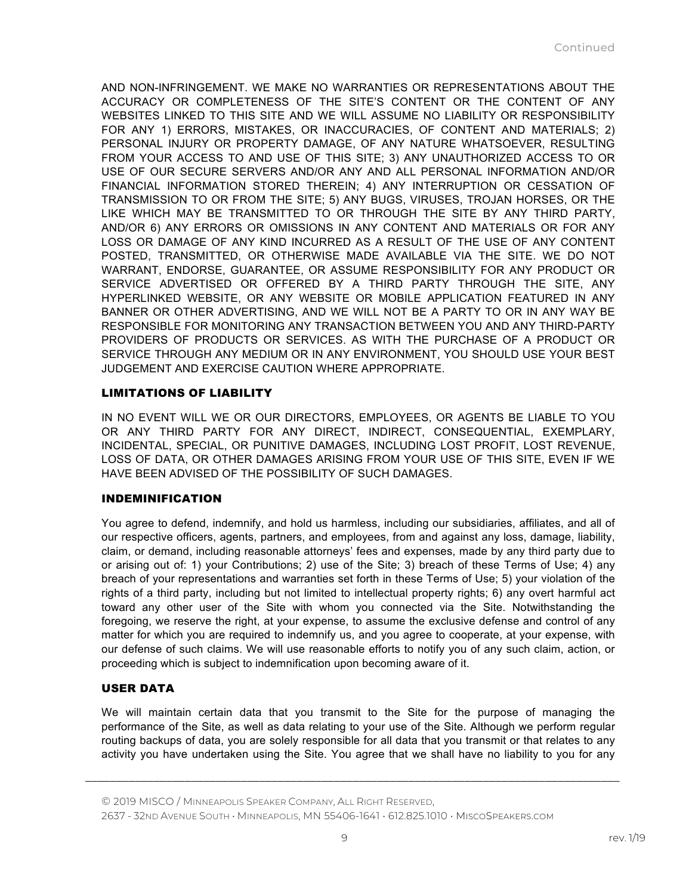AND NON-INFRINGEMENT. WE MAKE NO WARRANTIES OR REPRESENTATIONS ABOUT THE ACCURACY OR COMPLETENESS OF THE SITE'S CONTENT OR THE CONTENT OF ANY WEBSITES LINKED TO THIS SITE AND WE WILL ASSUME NO LIABILITY OR RESPONSIBILITY FOR ANY 1) ERRORS, MISTAKES, OR INACCURACIES, OF CONTENT AND MATERIALS; 2) PERSONAL INJURY OR PROPERTY DAMAGE, OF ANY NATURE WHATSOEVER, RESULTING FROM YOUR ACCESS TO AND USE OF THIS SITE; 3) ANY UNAUTHORIZED ACCESS TO OR USE OF OUR SECURE SERVERS AND/OR ANY AND ALL PERSONAL INFORMATION AND/OR FINANCIAL INFORMATION STORED THEREIN; 4) ANY INTERRUPTION OR CESSATION OF TRANSMISSION TO OR FROM THE SITE; 5) ANY BUGS, VIRUSES, TROJAN HORSES, OR THE LIKE WHICH MAY BE TRANSMITTED TO OR THROUGH THE SITE BY ANY THIRD PARTY, AND/OR 6) ANY ERRORS OR OMISSIONS IN ANY CONTENT AND MATERIALS OR FOR ANY LOSS OR DAMAGE OF ANY KIND INCURRED AS A RESULT OF THE USE OF ANY CONTENT POSTED, TRANSMITTED, OR OTHERWISE MADE AVAILABLE VIA THE SITE. WE DO NOT WARRANT, ENDORSE, GUARANTEE, OR ASSUME RESPONSIBILITY FOR ANY PRODUCT OR SERVICE ADVERTISED OR OFFERED BY A THIRD PARTY THROUGH THE SITE, ANY HYPERLINKED WEBSITE, OR ANY WEBSITE OR MOBILE APPLICATION FEATURED IN ANY BANNER OR OTHER ADVERTISING, AND WE WILL NOT BE A PARTY TO OR IN ANY WAY BE RESPONSIBLE FOR MONITORING ANY TRANSACTION BETWEEN YOU AND ANY THIRD-PARTY PROVIDERS OF PRODUCTS OR SERVICES. AS WITH THE PURCHASE OF A PRODUCT OR SERVICE THROUGH ANY MEDIUM OR IN ANY ENVIRONMENT, YOU SHOULD USE YOUR BEST JUDGEMENT AND EXERCISE CAUTION WHERE APPROPRIATE.

### LIMITATIONS OF LIABILITY

IN NO EVENT WILL WE OR OUR DIRECTORS, EMPLOYEES, OR AGENTS BE LIABLE TO YOU OR ANY THIRD PARTY FOR ANY DIRECT, INDIRECT, CONSEQUENTIAL, EXEMPLARY, INCIDENTAL, SPECIAL, OR PUNITIVE DAMAGES, INCLUDING LOST PROFIT, LOST REVENUE, LOSS OF DATA, OR OTHER DAMAGES ARISING FROM YOUR USE OF THIS SITE, EVEN IF WE HAVE BEEN ADVISED OF THE POSSIBILITY OF SUCH DAMAGES.

# INDEMINIFICATION

You agree to defend, indemnify, and hold us harmless, including our subsidiaries, affiliates, and all of our respective officers, agents, partners, and employees, from and against any loss, damage, liability, claim, or demand, including reasonable attorneys' fees and expenses, made by any third party due to or arising out of: 1) your Contributions; 2) use of the Site; 3) breach of these Terms of Use; 4) any breach of your representations and warranties set forth in these Terms of Use; 5) your violation of the rights of a third party, including but not limited to intellectual property rights; 6) any overt harmful act toward any other user of the Site with whom you connected via the Site. Notwithstanding the foregoing, we reserve the right, at your expense, to assume the exclusive defense and control of any matter for which you are required to indemnify us, and you agree to cooperate, at your expense, with our defense of such claims. We will use reasonable efforts to notify you of any such claim, action, or proceeding which is subject to indemnification upon becoming aware of it.

# USER DATA

We will maintain certain data that you transmit to the Site for the purpose of managing the performance of the Site, as well as data relating to your use of the Site. Although we perform regular routing backups of data, you are solely responsible for all data that you transmit or that relates to any activity you have undertaken using the Site. You agree that we shall have no liability to you for any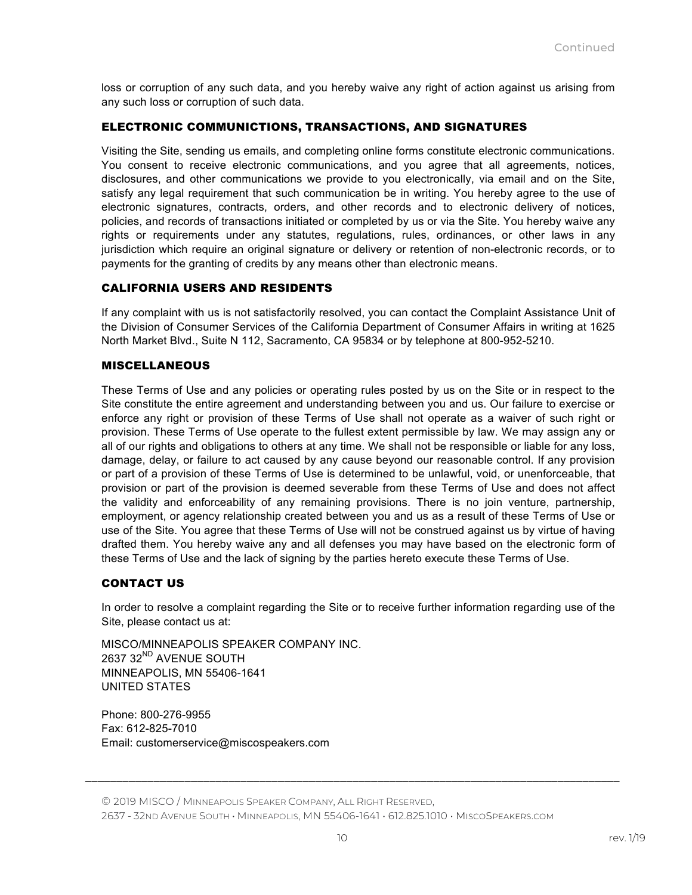loss or corruption of any such data, and you hereby waive any right of action against us arising from any such loss or corruption of such data.

# ELECTRONIC COMMUNICTIONS, TRANSACTIONS, AND SIGNATURES

Visiting the Site, sending us emails, and completing online forms constitute electronic communications. You consent to receive electronic communications, and you agree that all agreements, notices, disclosures, and other communications we provide to you electronically, via email and on the Site, satisfy any legal requirement that such communication be in writing. You hereby agree to the use of electronic signatures, contracts, orders, and other records and to electronic delivery of notices, policies, and records of transactions initiated or completed by us or via the Site. You hereby waive any rights or requirements under any statutes, regulations, rules, ordinances, or other laws in any jurisdiction which require an original signature or delivery or retention of non-electronic records, or to payments for the granting of credits by any means other than electronic means.

### CALIFORNIA USERS AND RESIDENTS

If any complaint with us is not satisfactorily resolved, you can contact the Complaint Assistance Unit of the Division of Consumer Services of the California Department of Consumer Affairs in writing at 1625 North Market Blvd., Suite N 112, Sacramento, CA 95834 or by telephone at 800-952-5210.

### **MISCELLANEOUS**

These Terms of Use and any policies or operating rules posted by us on the Site or in respect to the Site constitute the entire agreement and understanding between you and us. Our failure to exercise or enforce any right or provision of these Terms of Use shall not operate as a waiver of such right or provision. These Terms of Use operate to the fullest extent permissible by law. We may assign any or all of our rights and obligations to others at any time. We shall not be responsible or liable for any loss, damage, delay, or failure to act caused by any cause beyond our reasonable control. If any provision or part of a provision of these Terms of Use is determined to be unlawful, void, or unenforceable, that provision or part of the provision is deemed severable from these Terms of Use and does not affect the validity and enforceability of any remaining provisions. There is no join venture, partnership, employment, or agency relationship created between you and us as a result of these Terms of Use or use of the Site. You agree that these Terms of Use will not be construed against us by virtue of having drafted them. You hereby waive any and all defenses you may have based on the electronic form of these Terms of Use and the lack of signing by the parties hereto execute these Terms of Use.

### CONTACT US

In order to resolve a complaint regarding the Site or to receive further information regarding use of the Site, please contact us at:

MISCO/MINNEAPOLIS SPEAKER COMPANY INC. 2637 32<sup>ND</sup> AVENUE SOUTH MINNEAPOLIS, MN 55406-1641 UNITED STATES

Phone: 800-276-9955 Fax: 612-825-7010 Email: customerservice@miscospeakers.com

© 2019 MISCO / MINNEAPOLIS SPEAKER COMPANY, ALL RIGHT RESERVED, 2637 - 32ND AVENUE SOUTH • MINNEAPOLIS, MN 55406-1641 • 612.825.1010 • MISCOSPEAKERS.COM